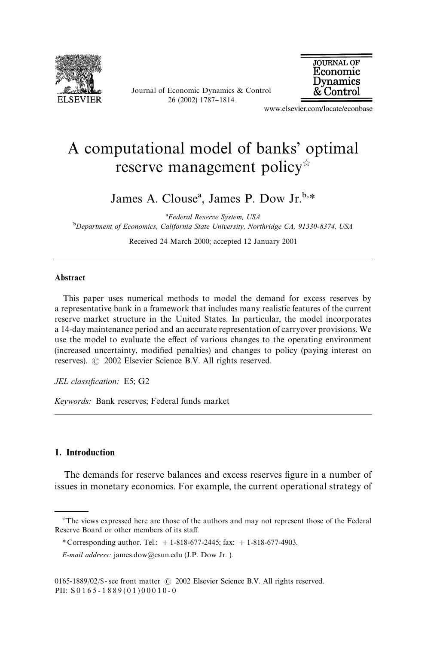

Journal of Economic Dynamics & Control 26 (2002) 1787-1814



www.elsevier.com/locate/econbase

## A computational model of banks' optimal reserve management policy<sup>\*</sup>

James A. Clouse<sup>a</sup>, James P. Dow Jr.<sup>b,\*</sup>

*Federal Reserve System, USA* -*Department of Economics, California State University, Northridge CA, 91330-8374, USA*

Received 24 March 2000; accepted 12 January 2001

## Abstract

This paper uses numerical methods to model the demand for excess reserves by a representative bank in a framework that includes many realistic features of the current reserve market structure in the United States. In particular, the model incorporates a 14-day maintenance period and an accurate representation of carryover provisions. We use the model to evaluate the effect of various changes to the operating environment (increased uncertainty, modified penalties) and changes to policy (paying interest on reserves).  $\odot$  2002 Elsevier Science B.V. All rights reserved.

*JEL classification:* E5; G2

*Keywords:* Bank reserves; Federal funds market

## 1. Introduction

The demands for reserve balances and excess reserves figure in a number of issues in monetary economics. For example, the current operational strategy of

 $*$ The views expressed here are those of the authors and may not represent those of the Federal Reserve Board or other members of its staff.

*<sup>\*</sup>* Corresponding author. Tel.: #1-818-677-2445; fax: #1-818-677-4903.

*E-mail address:* james.dow@csun.edu (J.P. Dow Jr. ).

<sup>0165-1889/02/\$-</sup> see front matter  $\odot$  2002 Elsevier Science B.V. All rights reserved. PII:  $S0165 - 1889(01)00010 - 0$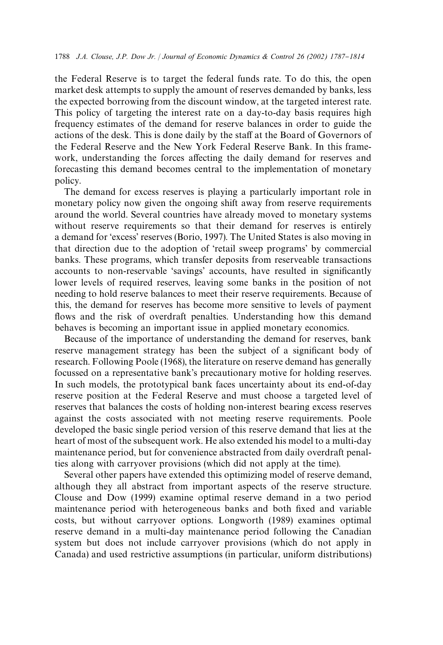the Federal Reserve is to target the federal funds rate. To do this, the open market desk attempts to supply the amount of reserves demanded by banks, less the expected borrowing from the discount window, at the targeted interest rate. This policy of targeting the interest rate on a day-to-day basis requires high frequency estimates of the demand for reserve balances in order to guide the actions of the desk. This is done daily by the staff at the Board of Governors of the Federal Reserve and the New York Federal Reserve Bank. In this framework, understanding the forces affecting the daily demand for reserves and forecasting this demand becomes central to the implementation of monetary policy.

The demand for excess reserves is playing a particularly important role in monetary policy now given the ongoing shift away from reserve requirements around the world. Several countries have already moved to monetary systems without reserve requirements so that their demand for reserves is entirely a demand for 'excess' reserves (Borio, 1997). The United States is also moving in that direction due to the adoption of 'retail sweep programs' by commercial banks. These programs, which transfer deposits from reserveable transactions accounts to non-reservable 'savings' accounts, have resulted in significantly lower levels of required reserves, leaving some banks in the position of not needing to hold reserve balances to meet their reserve requirements. Because of this, the demand for reserves has become more sensitive to levels of payment flows and the risk of overdraft penalties. Understanding how this demand behaves is becoming an important issue in applied monetary economics.

Because of the importance of understanding the demand for reserves, bank reserve management strategy has been the subject of a significant body of research. Following Poole (1968), the literature on reserve demand has generally focussed on a representative bank's precautionary motive for holding reserves. In such models, the prototypical bank faces uncertainty about its end-of-day reserve position at the Federal Reserve and must choose a targeted level of reserves that balances the costs of holding non-interest bearing excess reserves against the costs associated with not meeting reserve requirements. Poole developed the basic single period version of this reserve demand that lies at the heart of most of the subsequent work. He also extended his model to a multi-day maintenance period, but for convenience abstracted from daily overdraft penalties along with carryover provisions (which did not apply at the time).

Several other papers have extended this optimizing model of reserve demand, although they all abstract from important aspects of the reserve structure. Clouse and Dow (1999) examine optimal reserve demand in a two period maintenance period with heterogeneous banks and both fixed and variable costs, but without carryover options. Longworth (1989) examines optimal reserve demand in a multi-day maintenance period following the Canadian system but does not include carryover provisions (which do not apply in Canada) and used restrictive assumptions (in particular, uniform distributions)